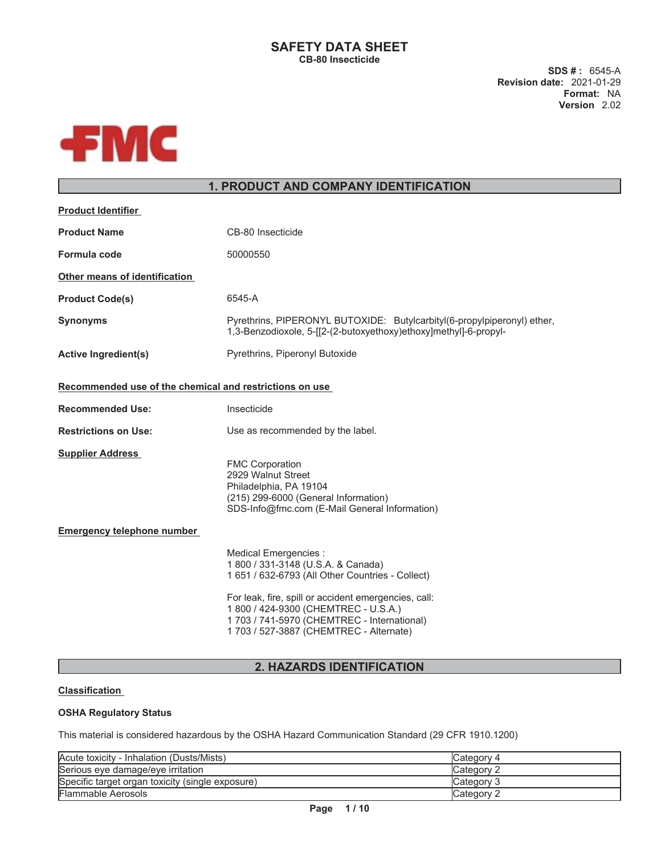# **SAFETY DATA SHEET CB-80 Insecticide**

**SDS # :** 6545-A **Revision date:** 2021-01-29 **Format:** NA **Version** 2.02



# **1. PRODUCT AND COMPANY IDENTIFICATION**

| <b>Product Identifier</b>                               |                                                                                                                                                                                                                                                                                                           |  |
|---------------------------------------------------------|-----------------------------------------------------------------------------------------------------------------------------------------------------------------------------------------------------------------------------------------------------------------------------------------------------------|--|
| <b>Product Name</b>                                     | CB-80 Insecticide                                                                                                                                                                                                                                                                                         |  |
| Formula code                                            | 50000550                                                                                                                                                                                                                                                                                                  |  |
| Other means of identification                           |                                                                                                                                                                                                                                                                                                           |  |
| <b>Product Code(s)</b>                                  | 6545-A                                                                                                                                                                                                                                                                                                    |  |
| <b>Synonyms</b>                                         | Pyrethrins, PIPERONYL BUTOXIDE: Butylcarbityl(6-propylpiperonyl) ether,<br>1,3-Benzodioxole, 5-[[2-(2-butoxyethoxy)ethoxy]methyl]-6-propyl-                                                                                                                                                               |  |
| <b>Active Ingredient(s)</b>                             | Pyrethrins, Piperonyl Butoxide                                                                                                                                                                                                                                                                            |  |
| Recommended use of the chemical and restrictions on use |                                                                                                                                                                                                                                                                                                           |  |
| <b>Recommended Use:</b>                                 | Insecticide                                                                                                                                                                                                                                                                                               |  |
| <b>Restrictions on Use:</b>                             | Use as recommended by the label.                                                                                                                                                                                                                                                                          |  |
| <b>Supplier Address</b>                                 | <b>FMC Corporation</b><br>2929 Walnut Street<br>Philadelphia, PA 19104<br>(215) 299-6000 (General Information)<br>SDS-Info@fmc.com (E-Mail General Information)                                                                                                                                           |  |
| <b>Emergency telephone number</b>                       |                                                                                                                                                                                                                                                                                                           |  |
|                                                         | Medical Emergencies :<br>1 800 / 331-3148 (U.S.A. & Canada)<br>1 651 / 632-6793 (All Other Countries - Collect)<br>For leak, fire, spill or accident emergencies, call:<br>1 800 / 424-9300 (CHEMTREC - U.S.A.)<br>1 703 / 741-5970 (CHEMTREC - International)<br>1 703 / 527-3887 (CHEMTREC - Alternate) |  |
|                                                         |                                                                                                                                                                                                                                                                                                           |  |

# **2. HAZARDS IDENTIFICATION**

# **Classification**

# **OSHA Regulatory Status**

This material is considered hazardous by the OSHA Hazard Communication Standard (29 CFR 1910.1200)

| Acute toxicity - Inhalation (Dusts/Mists)        | Category 4  |
|--------------------------------------------------|-------------|
| Serious eye damage/eye irritation                | Category 2  |
| Specific target organ toxicity (single exposure) | lCategory 3 |
| Flammable Aerosols                               | Category 2  |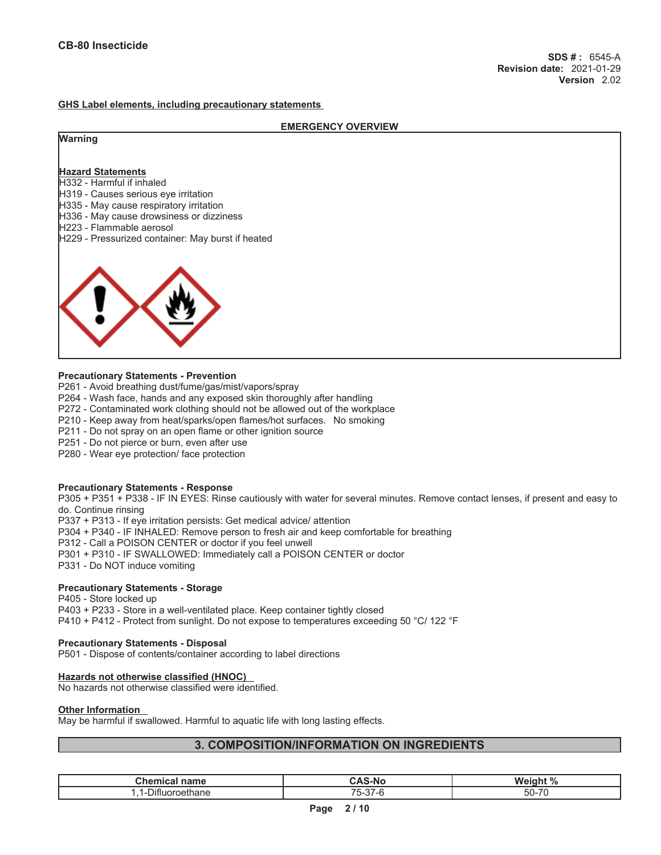## **GHS Label elements, including precautionary statements**

|                                                                               | <b>EMERGENCY OVERVIEW</b> |
|-------------------------------------------------------------------------------|---------------------------|
| <b>Warning</b>                                                                |                           |
|                                                                               |                           |
| <b>Hazard Statements</b>                                                      |                           |
| H332 - Harmful if inhaled                                                     |                           |
| H319 - Causes serious eye irritation                                          |                           |
| H335 - May cause respiratory irritation                                       |                           |
| H336 - May cause drowsiness or dizziness                                      |                           |
| H223 - Flammable aerosol<br>H229 - Pressurized container: May burst if heated |                           |
|                                                                               |                           |
|                                                                               |                           |
|                                                                               |                           |
|                                                                               |                           |
|                                                                               |                           |
|                                                                               |                           |
|                                                                               |                           |
|                                                                               |                           |
|                                                                               |                           |
|                                                                               |                           |

### **Precautionary Statements - Prevention**

- P261 Avoid breathing dust/fume/gas/mist/vapors/spray
- P264 Wash face, hands and any exposed skin thoroughly after handling
- P272 Contaminated work clothing should not be allowed out of the workplace
- P210 Keep away from heat/sparks/open flames/hot surfaces. No smoking
- P211 Do not spray on an open flame or other ignition source
- P251 Do not pierce or burn, even after use
- P280 Wear eye protection/ face protection

### **Precautionary Statements - Response**

P305 + P351 + P338 - IF IN EYES: Rinse cautiously with water for several minutes. Remove contact lenses, if present and easy to do. Continue rinsing

P337 + P313 - If eye irritation persists: Get medical advice/ attention

- P304 + P340 IF INHALED: Remove person to fresh air and keep comfortable for breathing
- P312 Call a POISON CENTER or doctor if you feel unwell
- P301 + P310 IF SWALLOWED: Immediately call a POISON CENTER or doctor
- P331 Do NOT induce vomiting

### **Precautionary Statements - Storage**

P405 - Store locked up P403 + P233 - Store in a well-ventilated place. Keep container tightly closed P410 + P412 - Protect from sunlight. Do not expose to temperatures exceeding 50 °C/ 122 °F

### **Precautionary Statements - Disposal**

P501 - Dispose of contents/container according to label directions

### **Hazards not otherwise classified (HNOC)**

No hazards not otherwise classified were identified.

### **Other Information**

May be harmful if swallowed. Harmful to aquatic life with long lasting effects.

# **3. COMPOSITION/INFORMATION ON INGREDIENTS**

| <b>Oksesia</b><br>name<br>ша                     | CAC N<br>5-NC                                            | Weigh.<br>.                 |
|--------------------------------------------------|----------------------------------------------------------|-----------------------------|
| ----<br>∩ane<br>, اص<br>,,,,,,,,,<br>.<br>$\sim$ | $\rightarrow$ $\rightarrow$<br>$\sim$<br>ົ່າ-<br>$\cdot$ | $\rightarrow$<br>- -<br>5U· |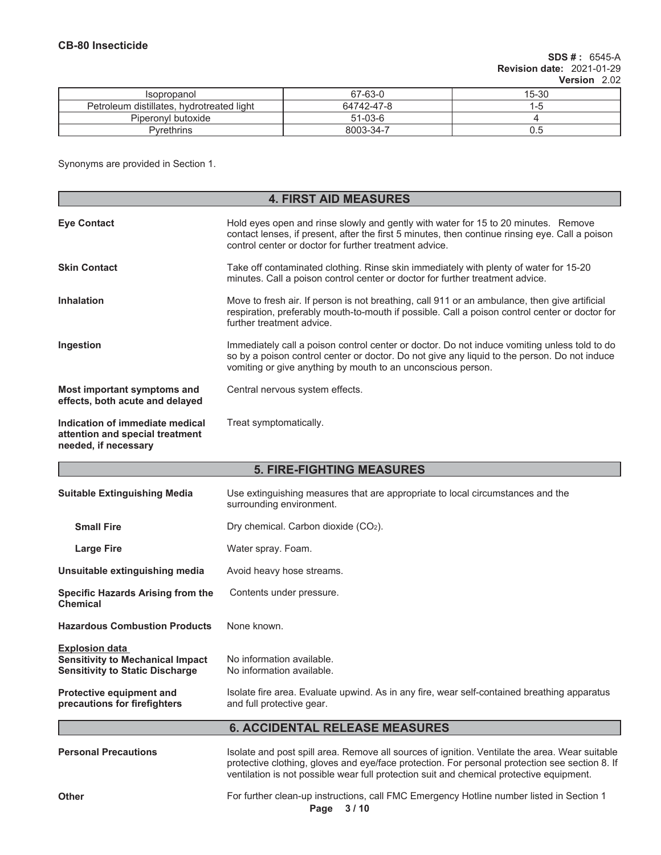**needed, if necessary**

| <b>Isopropanol</b>                        | 67-63-0    | 15-30  |
|-------------------------------------------|------------|--------|
| Petroleum distillates, hydrotreated light | 64742-47-8 | 1 – IT |
| Piperonyl butoxide                        | $51-03-6$  |        |
| Pvrethrins                                | 8003-34-7  |        |

Synonyms are provided in Section 1.

| <b>4. FIRST AID MEASURES</b>                                       |                                                                                                                                                                                                                                                              |  |
|--------------------------------------------------------------------|--------------------------------------------------------------------------------------------------------------------------------------------------------------------------------------------------------------------------------------------------------------|--|
| <b>Eve Contact</b>                                                 | Hold eyes open and rinse slowly and gently with water for 15 to 20 minutes. Remove<br>contact lenses, if present, after the first 5 minutes, then continue rinsing eye. Call a poison<br>control center or doctor for further treatment advice.              |  |
| <b>Skin Contact</b>                                                | Take off contaminated clothing. Rinse skin immediately with plenty of water for 15-20<br>minutes. Call a poison control center or doctor for further treatment advice.                                                                                       |  |
| <b>Inhalation</b>                                                  | Move to fresh air. If person is not breathing, call 911 or an ambulance, then give artificial<br>respiration, preferably mouth-to-mouth if possible. Call a poison control center or doctor for<br>further treatment advice.                                 |  |
| Ingestion                                                          | Immediately call a poison control center or doctor. Do not induce vomiting unless told to do<br>so by a poison control center or doctor. Do not give any liquid to the person. Do not induce<br>vomiting or give anything by mouth to an unconscious person. |  |
| Most important symptoms and<br>effects, both acute and delayed     | Central nervous system effects.                                                                                                                                                                                                                              |  |
| Indication of immediate medical<br>attention and special treatment | Treat symptomatically.                                                                                                                                                                                                                                       |  |

# **5. FIRE-FIGHTING MEASURES**

| <b>Suitable Extinguishing Media</b>                                                                        | Use extinguishing measures that are appropriate to local circumstances and the<br>surrounding environment.                                                                                       |  |
|------------------------------------------------------------------------------------------------------------|--------------------------------------------------------------------------------------------------------------------------------------------------------------------------------------------------|--|
| <b>Small Fire</b>                                                                                          | Dry chemical. Carbon dioxide (CO2).                                                                                                                                                              |  |
| <b>Large Fire</b>                                                                                          | Water spray. Foam.                                                                                                                                                                               |  |
| Unsuitable extinguishing media                                                                             | Avoid heavy hose streams.                                                                                                                                                                        |  |
| Specific Hazards Arising from the<br>Chemical                                                              | Contents under pressure.                                                                                                                                                                         |  |
| <b>Hazardous Combustion Products</b>                                                                       | None known.                                                                                                                                                                                      |  |
| <b>Explosion data</b><br><b>Sensitivity to Mechanical Impact</b><br><b>Sensitivity to Static Discharge</b> | No information available.<br>No information available.                                                                                                                                           |  |
| Protective equipment and<br>precautions for firefighters                                                   | Isolate fire area. Evaluate upwind. As in any fire, wear self-contained breathing apparatus<br>and full protective gear.                                                                         |  |
| <b>6. ACCIDENTAL RELEASE MEASURES</b>                                                                      |                                                                                                                                                                                                  |  |
| <b>Personal Precautions</b>                                                                                | Isolate and post spill area. Remove all sources of ignition. Ventilate the area. Wear suitable<br>protective clothing, gloves and eye/face protection. For personal protection see section 8. If |  |

**Other** For further clean-up instructions, call FMC Emergency Hotline number listed in Section 1

ventilation is not possible wear full protection suit and chemical protective equipment.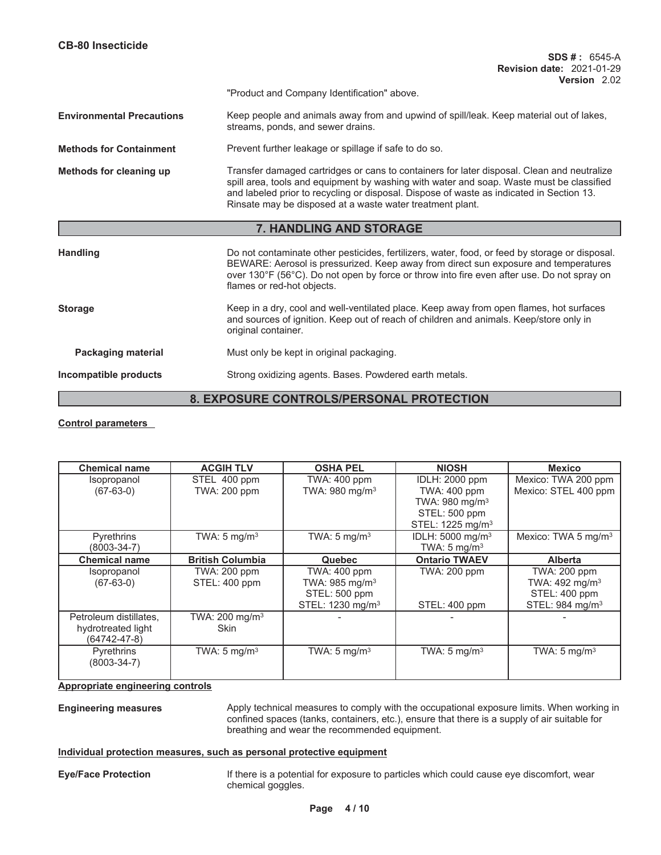| <b>CB-80 Insecticide</b>                        | $SDS #: 6545-A$                                                                                                                                                                                                                                                                                                                                 |
|-------------------------------------------------|-------------------------------------------------------------------------------------------------------------------------------------------------------------------------------------------------------------------------------------------------------------------------------------------------------------------------------------------------|
|                                                 | <b>Revision date: 2021-01-29</b><br>Version 2.02                                                                                                                                                                                                                                                                                                |
|                                                 | "Product and Company Identification" above.                                                                                                                                                                                                                                                                                                     |
| <b>Environmental Precautions</b>                | Keep people and animals away from and upwind of spill/leak. Keep material out of lakes,<br>streams, ponds, and sewer drains.                                                                                                                                                                                                                    |
| <b>Methods for Containment</b>                  | Prevent further leakage or spillage if safe to do so.                                                                                                                                                                                                                                                                                           |
| Methods for cleaning up                         | Transfer damaged cartridges or cans to containers for later disposal. Clean and neutralize<br>spill area, tools and equipment by washing with water and soap. Waste must be classified<br>and labeled prior to recycling or disposal. Dispose of waste as indicated in Section 13.<br>Rinsate may be disposed at a waste water treatment plant. |
|                                                 | 7. HANDLING AND STORAGE                                                                                                                                                                                                                                                                                                                         |
| <b>Handling</b>                                 | Do not contaminate other pesticides, fertilizers, water, food, or feed by storage or disposal.<br>BEWARE: Aerosol is pressurized. Keep away from direct sun exposure and temperatures<br>over 130°F (56°C). Do not open by force or throw into fire even after use. Do not spray on<br>flames or red-hot objects.                               |
| <b>Storage</b>                                  | Keep in a dry, cool and well-ventilated place. Keep away from open flames, hot surfaces<br>and sources of ignition. Keep out of reach of children and animals. Keep/store only in<br>original container.                                                                                                                                        |
| <b>Packaging material</b>                       | Must only be kept in original packaging.                                                                                                                                                                                                                                                                                                        |
| Incompatible products                           | Strong oxidizing agents. Bases. Powdered earth metals.                                                                                                                                                                                                                                                                                          |
| <b>8. EXPOSURE CONTROLS/PERSONAL PROTECTION</b> |                                                                                                                                                                                                                                                                                                                                                 |

# **Control parameters**

| <b>Chemical name</b>   | <b>ACGIH TLV</b>          | <b>OSHA PEL</b>              | <b>NIOSH</b>                 | <b>Mexico</b>                   |
|------------------------|---------------------------|------------------------------|------------------------------|---------------------------------|
| Isopropanol            | STEL 400 ppm              | TWA: 400 ppm                 | IDLH: 2000 ppm               | Mexico: TWA 200 ppm             |
| $(67-63-0)$            | <b>TWA: 200 ppm</b>       | TWA: 980 mg/m <sup>3</sup>   | TWA: 400 ppm                 | Mexico: STEL 400 ppm            |
|                        |                           |                              | TWA: 980 mg/m <sup>3</sup>   |                                 |
|                        |                           |                              | STEL: 500 ppm                |                                 |
|                        |                           |                              | STEL: 1225 mg/m <sup>3</sup> |                                 |
| <b>Pyrethrins</b>      | TWA: $5 \text{ mg/m}^3$   | TWA: $5 \text{ mg/m}^3$      | IDLH: 5000 mg/m <sup>3</sup> | Mexico: TWA 5 mg/m <sup>3</sup> |
| (8003-34-7)            |                           |                              | TWA: $5 \text{ mg/m}^3$      |                                 |
| <b>Chemical name</b>   | <b>British Columbia</b>   | Quebec                       | <b>Ontario TWAEV</b>         | <b>Alberta</b>                  |
| Isopropanol            | TWA: 200 ppm              | <b>TWA: 400 ppm</b>          | TWA: 200 ppm                 | <b>TWA: 200 ppm</b>             |
| $(67-63-0)$            | STEL: 400 ppm             | TWA: 985 mg/m <sup>3</sup>   |                              | TWA: $492$ mg/m <sup>3</sup>    |
|                        |                           | STEL: 500 ppm                |                              | STEL: 400 ppm                   |
|                        |                           | STEL: 1230 mg/m <sup>3</sup> | STEL: 400 ppm                | STEL: 984 mg/m <sup>3</sup>     |
| Petroleum distillates, | TWA: $200 \text{ mg/m}^3$ |                              |                              |                                 |
| hydrotreated light     | Skin                      |                              |                              |                                 |
| $(64742 - 47 - 8)$     |                           |                              |                              |                                 |
| <b>Pyrethrins</b>      | TWA: $5 \text{ mg/m}^3$   | TWA: $5 \text{ mg/m}^3$      | TWA: $5 \text{ mg/m}^3$      | TWA: $5 \text{ mg/m}^3$         |
| $(8003 - 34 - 7)$      |                           |                              |                              |                                 |
|                        |                           |                              |                              |                                 |

# **Appropriate engineering controls**

**Engineering measures** Apply technical measures to comply with the occupational exposure limits. When working in confined spaces (tanks, containers, etc.), ensure that there is a supply of air suitable for breathing and wear the recommended equipment.

### **Individual protection measures, such as personal protective equipment**

**Eye/Face Protection** If there is a potential for exposure to particles which could cause eye discomfort, wear chemical goggles.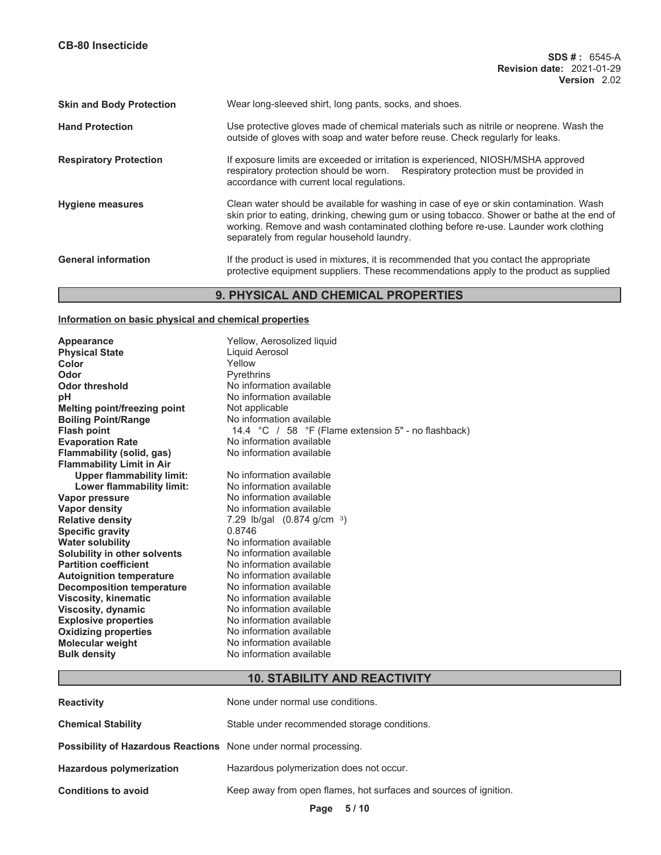| <b>Skin and Body Protection</b> | Wear long-sleeved shirt, long pants, socks, and shoes.                                                                                                                                                                                                                                                                     |
|---------------------------------|----------------------------------------------------------------------------------------------------------------------------------------------------------------------------------------------------------------------------------------------------------------------------------------------------------------------------|
| <b>Hand Protection</b>          | Use protective gloves made of chemical materials such as nitrile or neoprene. Wash the<br>outside of gloves with soap and water before reuse. Check regularly for leaks.                                                                                                                                                   |
| <b>Respiratory Protection</b>   | If exposure limits are exceeded or irritation is experienced, NIOSH/MSHA approved<br>respiratory protection should be worn. Respiratory protection must be provided in<br>accordance with current local regulations.                                                                                                       |
| <b>Hygiene measures</b>         | Clean water should be available for washing in case of eye or skin contamination. Wash<br>skin prior to eating, drinking, chewing gum or using tobacco. Shower or bathe at the end of<br>working. Remove and wash contaminated clothing before re-use. Launder work clothing<br>separately from regular household laundry. |
| <b>General information</b>      | If the product is used in mixtures, it is recommended that you contact the appropriate<br>protective equipment suppliers. These recommendations apply to the product as supplied                                                                                                                                           |

# **9. PHYSICAL AND CHEMICAL PROPERTIES**

# **Information on basic physical and chemical properties**

| Appearance<br><b>Physical State</b><br>Color<br>Odor<br><b>Odor threshold</b><br>рH<br><b>Melting point/freezing point</b><br><b>Boiling Point/Range</b><br><b>Flash point</b><br><b>Evaporation Rate</b><br>Flammability (solid, gas)<br><b>Flammability Limit in Air</b><br><b>Upper flammability limit:</b><br>Lower flammability limit:<br>Vapor pressure<br><b>Vapor density</b><br><b>Relative density</b><br><b>Specific gravity</b><br><b>Water solubility</b><br>Solubility in other solvents<br><b>Partition coefficient</b><br><b>Autoignition temperature</b><br><b>Decomposition temperature</b><br><b>Viscosity, kinematic</b><br>Viscosity, dynamic<br><b>Explosive properties</b> | Yellow, Aerosolized liquid<br>Liquid Aerosol<br>Yellow<br><b>Pyrethrins</b><br>No information available<br>No information available<br>Not applicable<br>No information available<br>14.4 °C / 58 °F (Flame extension 5" - no flashback)<br>No information available<br>No information available<br>No information available<br>No information available<br>No information available<br>No information available<br>7.29 lb/gal $(0.874 \text{ g/cm}^{-3})$<br>0.8746<br>No information available<br>No information available<br>No information available<br>No information available<br>No information available<br>No information available<br>No information available<br>No information available |
|---------------------------------------------------------------------------------------------------------------------------------------------------------------------------------------------------------------------------------------------------------------------------------------------------------------------------------------------------------------------------------------------------------------------------------------------------------------------------------------------------------------------------------------------------------------------------------------------------------------------------------------------------------------------------------------------------|-------------------------------------------------------------------------------------------------------------------------------------------------------------------------------------------------------------------------------------------------------------------------------------------------------------------------------------------------------------------------------------------------------------------------------------------------------------------------------------------------------------------------------------------------------------------------------------------------------------------------------------------------------------------------------------------------------|
| <b>Oxidizing properties</b><br><b>Molecular weight</b>                                                                                                                                                                                                                                                                                                                                                                                                                                                                                                                                                                                                                                            | No information available<br>No information available                                                                                                                                                                                                                                                                                                                                                                                                                                                                                                                                                                                                                                                  |
| <b>Bulk density</b>                                                                                                                                                                                                                                                                                                                                                                                                                                                                                                                                                                                                                                                                               | No information available                                                                                                                                                                                                                                                                                                                                                                                                                                                                                                                                                                                                                                                                              |

# **10. STABILITY AND REACTIVITY**

| None under normal use conditions.                                       |
|-------------------------------------------------------------------------|
| Stable under recommended storage conditions.                            |
| <b>Possibility of Hazardous Reactions</b> None under normal processing. |
| Hazardous polymerization does not occur.                                |
| Keep away from open flames, hot surfaces and sources of ignition.       |
|                                                                         |

**Page 5 / 10**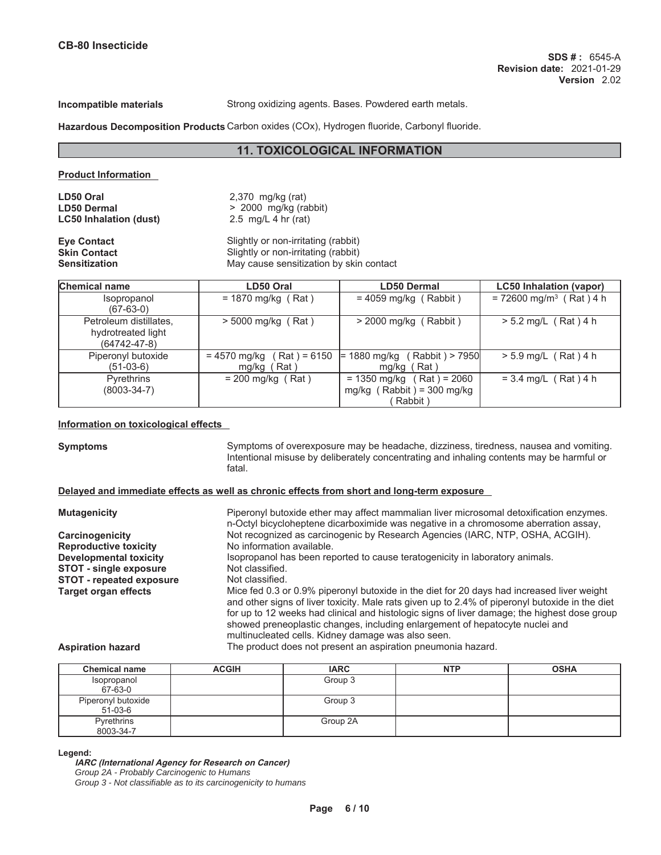**Incompatible materials** Strong oxidizing agents. Bases. Powdered earth metals.

**Hazardous Decomposition Products** Carbon oxides (COx), Hydrogen fluoride, Carbonyl fluoride.

# **11. TOXICOLOGICAL INFORMATION**

## **Product Information**

**LD50 Oral** 2,370 mg/kg (rat) **LD50 Dermal** > 2000 mg/kg (rabbit) **LC50 Inhalation (dust)** 2.5 mg/L 4 hr (rat)

**Eye Contact Exercise Slightly or non-irritating (rabbit)**<br> **Slightly or non-irritating (rabbit) Skin Contact** Slightly or non-irritating (rabbit)<br> **Sensitization**<br>
May cause sensitization by skin **Sensitization** May cause sensitization by skin contact

| <b>Chemical name</b>                                               | LD50 Oral                                        | <b>LD50 Dermal</b>                                                         | <b>LC50 Inhalation (vapor)</b>        |
|--------------------------------------------------------------------|--------------------------------------------------|----------------------------------------------------------------------------|---------------------------------------|
| Isopropanol<br>(67-63-0)                                           | $= 1870$ mg/kg (Rat)                             | $= 4059$ mg/kg (Rabbit)                                                    | $= 72600$ mg/m <sup>3</sup> (Rat) 4 h |
| Petroleum distillates,<br>hydrotreated light<br>$(64742 - 47 - 8)$ | $>$ 5000 mg/kg (Rat)                             | $>$ 2000 mg/kg (Rabbit)                                                    | $> 5.2$ mg/L (Rat) 4 h                |
| Piperonyl butoxide<br>(51-03-6)                                    | (Rat ) = 6150<br>$= 4570$ mg/kg<br>Rat)<br>mg/kg | (Rabbit) > 7950<br>= 1880 mg/kg<br>mg/kg (Rat)                             | $> 5.9$ mg/L (Rat) 4 h                |
| <b>Pyrethrins</b><br>$(8003 - 34 - 7)$                             | $= 200$ mg/kg (Rat)                              | $= 1350$ mg/kg (Rat) = 2060<br>mg/kg $($ Rabbit $) = 300$ mg/kg<br>Rabbit) | $= 3.4$ mg/L (Rat) 4 h                |

### **Information on toxicological effects**

**Symptoms** Symptoms of overexposure may be headache, dizziness, tiredness, nausea and vomiting. Intentional misuse by deliberately concentrating and inhaling contents may be harmful or fatal.

### **Delayed and immediate effects as well as chronic effects from short and long-term exposure**

| <b>Mutagenicity</b>             | Piperonyl butoxide ether may affect mammalian liver microsomal detoxification enzymes.<br>n-Octyl bicycloheptene dicarboximide was negative in a chromosome aberration assay,                                                                                                                                                                                                                                                       |
|---------------------------------|-------------------------------------------------------------------------------------------------------------------------------------------------------------------------------------------------------------------------------------------------------------------------------------------------------------------------------------------------------------------------------------------------------------------------------------|
| Carcinogenicity                 | Not recognized as carcinogenic by Research Agencies (IARC, NTP, OSHA, ACGIH).                                                                                                                                                                                                                                                                                                                                                       |
| <b>Reproductive toxicity</b>    | No information available.                                                                                                                                                                                                                                                                                                                                                                                                           |
| Developmental toxicity          | Isopropanol has been reported to cause teratogenicity in laboratory animals.                                                                                                                                                                                                                                                                                                                                                        |
| <b>STOT - single exposure</b>   | Not classified.                                                                                                                                                                                                                                                                                                                                                                                                                     |
| <b>STOT - repeated exposure</b> | Not classified.                                                                                                                                                                                                                                                                                                                                                                                                                     |
| <b>Target organ effects</b>     | Mice fed 0.3 or 0.9% piperonyl butoxide in the diet for 20 days had increased liver weight<br>and other signs of liver toxicity. Male rats given up to 2.4% of piperonyl butoxide in the diet<br>for up to 12 weeks had clinical and histologic signs of liver damage; the highest dose group<br>showed preneoplastic changes, including enlargement of hepatocyte nuclei and<br>multinucleated cells. Kidney damage was also seen. |

### **Aspiration hazard** The product does not present an aspiration pneumonia hazard.

| <b>Chemical name</b>            | <b>ACGIH</b> | <b>IARC</b> | <b>NTP</b> | <b>OSHA</b> |
|---------------------------------|--------------|-------------|------------|-------------|
| Isopropanol<br>67-63-0          |              | Group 3     |            |             |
| Piperonyl butoxide<br>$51-03-6$ |              | Group 3     |            |             |
| Pyrethrins<br>8003-34-7         |              | Group 2A    |            |             |

**Legend:**

### **IARC (International Agency for Research on Cancer)**

*Group 2A - Probably Carcinogenic to Humans*

*Group 3 - Not classifiable as to its carcinogenicity to humans*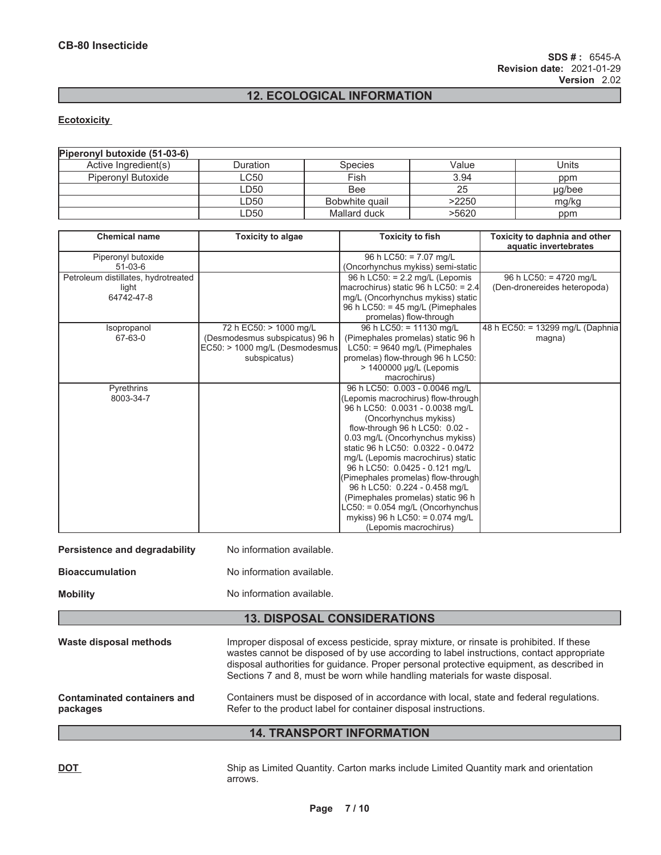# **12. ECOLOGICAL INFORMATION**

## **Ecotoxicity**

| Piperonyl butoxide (51-03-6) |                           |                |       |        |
|------------------------------|---------------------------|----------------|-------|--------|
| Active Ingredient(s)         | Duration                  | <b>Species</b> | Value | Units  |
| Piperonyl Butoxide           | $\mathsf{L} \mathsf{C}50$ | Fish           | 3.94  | ppm    |
|                              | LD50                      | Bee            | 25    | ug/bee |
|                              | LD50                      | Bobwhite quail | >2250 | mg/kg  |
|                              | LD50                      | Mallard duck   | >5620 | ppm    |

| <b>Chemical name</b>                | <b>Toxicity to algae</b>        | <b>Toxicity to fish</b>                                              | Toxicity to daphnia and other<br>aquatic invertebrates |
|-------------------------------------|---------------------------------|----------------------------------------------------------------------|--------------------------------------------------------|
| Piperonyl butoxide                  |                                 | 96 h LC50: = $7.07$ mg/L                                             |                                                        |
| $51-03-6$                           |                                 | (Oncorhynchus mykiss) semi-static                                    |                                                        |
| Petroleum distillates, hydrotreated |                                 | 96 h LC50: $= 2.2$ mg/L (Lepomis                                     | 96 h LC50: = 4720 mg/L                                 |
| light                               |                                 | macrochirus) static 96 h LC50: = $2.4$                               | (Den-dronereides heteropoda)                           |
| 64742-47-8                          |                                 | mg/L (Oncorhynchus mykiss) static                                    |                                                        |
|                                     |                                 | 96 h LC50: = 45 mg/L (Pimephales                                     |                                                        |
|                                     |                                 | promelas) flow-through                                               |                                                        |
| Isopropanol                         | 72 h EC50: > 1000 mg/L          | 96 h LC50: = $11130$ mg/L                                            | 48 h EC50: = 13299 mg/L (Daphnia                       |
| 67-63-0                             | (Desmodesmus subspicatus) 96 h  | (Pimephales promelas) static 96 h                                    | magna)                                                 |
|                                     | EC50: > 1000 mg/L (Desmodesmus) | $LC50$ : = 9640 mg/L (Pimephales                                     |                                                        |
|                                     | subspicatus)                    | promelas) flow-through 96 h LC50:                                    |                                                        |
|                                     |                                 | > 1400000 µg/L (Lepomis                                              |                                                        |
|                                     |                                 | macrochirus)                                                         |                                                        |
| Pyrethrins                          |                                 | 96 h LC50: 0.003 - 0.0046 mg/L                                       |                                                        |
| 8003-34-7                           |                                 | (Lepomis macrochirus) flow-through                                   |                                                        |
|                                     |                                 | 96 h LC50: 0.0031 - 0.0038 mg/L                                      |                                                        |
|                                     |                                 | (Oncorhynchus mykiss)                                                |                                                        |
|                                     |                                 | flow-through 96 h LC50: 0.02 -                                       |                                                        |
|                                     |                                 | 0.03 mg/L (Oncorhynchus mykiss)<br>static 96 h LC50: 0.0322 - 0.0472 |                                                        |
|                                     |                                 |                                                                      |                                                        |
|                                     |                                 | mg/L (Lepomis macrochirus) static<br>96 h LC50: 0.0425 - 0.121 mg/L  |                                                        |
|                                     |                                 | (Pimephales promelas) flow-through                                   |                                                        |
|                                     |                                 | 96 h LC50: 0.224 - 0.458 mg/L                                        |                                                        |
|                                     |                                 | (Pimephales promelas) static 96 h                                    |                                                        |
|                                     |                                 | $LC50: = 0.054$ mg/L (Oncorhynchus                                   |                                                        |
|                                     |                                 | mykiss) 96 h LC50: = $0.074$ mg/L                                    |                                                        |
|                                     |                                 | (Lepomis macrochirus)                                                |                                                        |
|                                     |                                 |                                                                      |                                                        |

| Persistence and degradability | No information available. |
|-------------------------------|---------------------------|
| <b>Bioaccumulation</b>        | No information available. |

**Mobility Mobility Mobility No information available.** 

# **13. DISPOSAL CONSIDERATIONS**

Waste disposal methods **Improper disposal of excess pesticide**, spray mixture, or rinsate is prohibited. If these wastes cannot be disposed of by use according to label instructions, contact appropriate disposal authorities for guidance. Proper personal protective equipment, as described in Sections 7 and 8, must be worn while handling materials for waste disposal. **Contaminated containers and packages** Containers must be disposed of in accordance with local, state and federal regulations. Refer to the product label for container disposal instructions.

**14. TRANSPORT INFORMATION** 

**DOT** Ship as Limited Quantity. Carton marks include Limited Quantity mark and orientation arrows.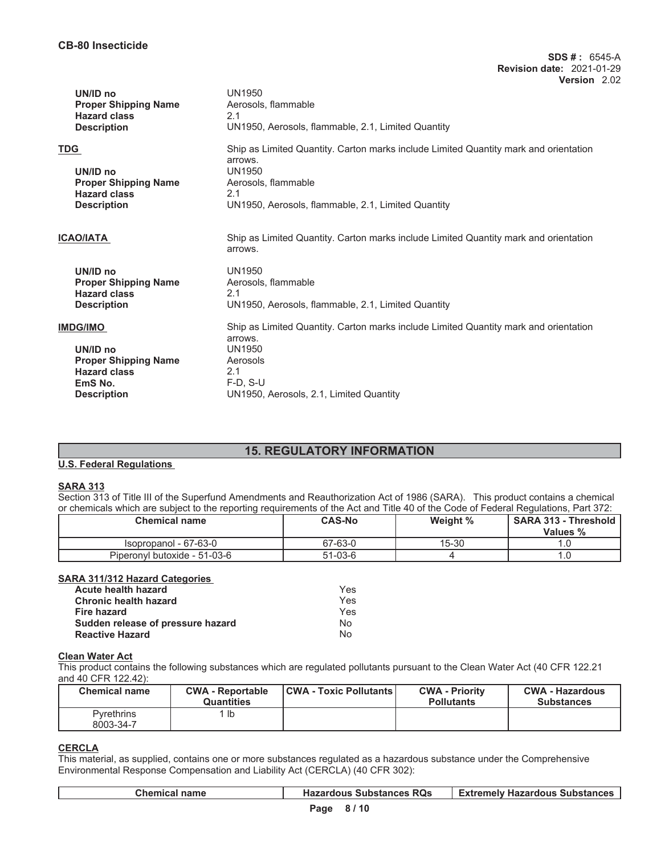| UN/ID no<br><b>Proper Shipping Name</b><br><b>Hazard class</b><br><b>Description</b>                               | UN1950<br>Aerosols, flammable<br>2.1<br>UN1950, Aerosols, flammable, 2.1, Limited Quantity                                                                                                           |
|--------------------------------------------------------------------------------------------------------------------|------------------------------------------------------------------------------------------------------------------------------------------------------------------------------------------------------|
| <b>TDG</b><br>UN/ID no<br><b>Proper Shipping Name</b><br><b>Hazard class</b><br><b>Description</b>                 | Ship as Limited Quantity. Carton marks include Limited Quantity mark and orientation<br>arrows.<br><b>UN1950</b><br>Aerosols, flammable<br>2.1<br>UN1950, Aerosols, flammable, 2.1, Limited Quantity |
| <b>ICAO/IATA</b>                                                                                                   | Ship as Limited Quantity. Carton marks include Limited Quantity mark and orientation<br>arrows.                                                                                                      |
| UN/ID no<br><b>Proper Shipping Name</b><br><b>Hazard class</b><br><b>Description</b>                               | UN1950<br>Aerosols, flammable<br>2.1<br>UN1950, Aerosols, flammable, 2.1, Limited Quantity                                                                                                           |
| <b>IMDG/IMO</b><br>UN/ID no<br><b>Proper Shipping Name</b><br><b>Hazard class</b><br>EmS No.<br><b>Description</b> | Ship as Limited Quantity. Carton marks include Limited Quantity mark and orientation<br>arrows.<br><b>UN1950</b><br>Aerosols<br>2.1<br>$F-D$ , S-U<br>UN1950, Aerosols, 2.1, Limited Quantity        |

# **15. REGULATORY INFORMATION**

### **U.S. Federal Regulations**

### **SARA 313**

Section 313 of Title III of the Superfund Amendments and Reauthorization Act of 1986 (SARA). This product contains a chemical or chemicals which are subject to the reporting requirements of the Act and Title 40 of the Code of Federal Regulations, Part 372:

| <b>Chemical name</b>         | <b>CAS-No</b> | Weight % | <b>SARA 313 - Threshold</b><br>Values % |
|------------------------------|---------------|----------|-----------------------------------------|
| Isopropanol - 67-63-0        | 67-63-0       | 15-30    |                                         |
| Piperonyl butoxide - 51-03-6 | 51-03-6       |          |                                         |

### **SARA 311/312 Hazard Categories**

| <b>Acute health hazard</b>        | Yes |
|-----------------------------------|-----|
| <b>Chronic health hazard</b>      | Yes |
| Fire hazard                       | Yes |
| Sudden release of pressure hazard | N٥  |
| <b>Reactive Hazard</b>            | N٥  |

# **Clean Water Act**

This product contains the following substances which are regulated pollutants pursuant to the Clean Water Act (40 CFR 122.21 and 40 CFR 122.42):

| <b>Chemical name</b>           | <b>CWA - Reportable</b><br><b>Quantities</b> | <b>CWA - Toxic Pollutants  </b> | <b>CWA - Priority</b><br><b>Pollutants</b> | <b>CWA - Hazardous</b><br><b>Substances</b> |
|--------------------------------|----------------------------------------------|---------------------------------|--------------------------------------------|---------------------------------------------|
| <b>Pyrethrins</b><br>8003-34-7 | lb                                           |                                 |                                            |                                             |

## **CERCLA**

 $\mathsf{L}$ 

This material, as supplied, contains one or more substances regulated as a hazardous substance under the Comprehensive Environmental Response Compensation and Liability Act (CERCLA) (40 CFR 302):

| <b>Chemical name</b> | <b>Hazardous Substances RQs</b> | <b>Extremely Hazardous Substances</b> |
|----------------------|---------------------------------|---------------------------------------|
|                      | <b>P.</b> 2. <b>P.</b> 140      |                                       |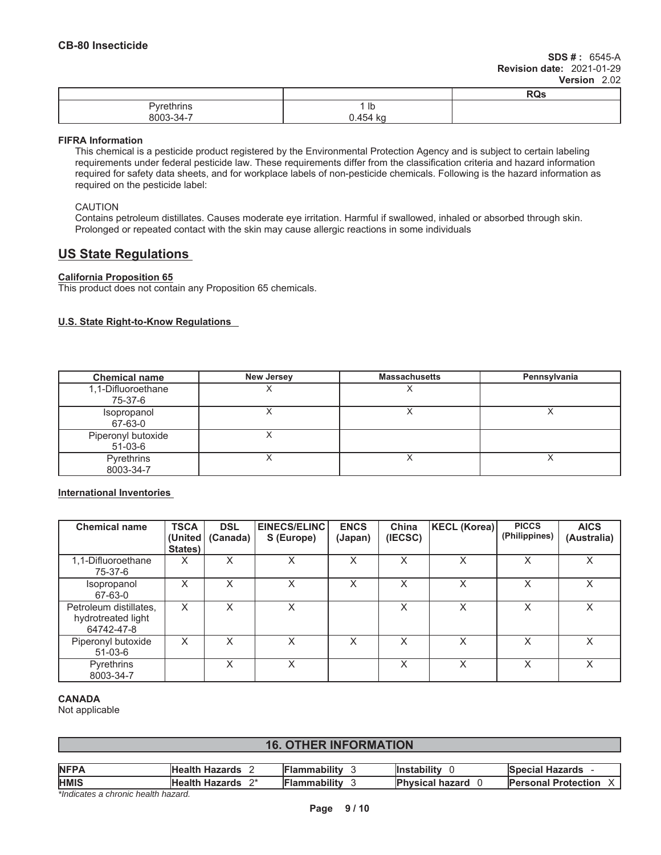|                                                 |                | <b>ROS</b> |
|-------------------------------------------------|----------------|------------|
| .<br>$-$ heine<br>J <sub>1</sub><br>∠u II II IS | 1 ID           |            |
| .<br>8003-.<br>-34-                             | .454 ko<br>. . |            |

### **FIFRA Information**

This chemical is a pesticide product registered by the Environmental Protection Agency and is subject to certain labeling requirements under federal pesticide law. These requirements differ from the classification criteria and hazard information required for safety data sheets, and for workplace labels of non-pesticide chemicals. Following is the hazard information as required on the pesticide label:

### CAUTION

Contains petroleum distillates. Causes moderate eye irritation. Harmful if swallowed, inhaled or absorbed through skin. Prolonged or repeated contact with the skin may cause allergic reactions in some individuals

# **US State Regulations**

# **California Proposition 65**

This product does not contain any Proposition 65 chemicals.

# **U.S. State Right-to-Know Regulations**

| <b>Chemical name</b>            | <b>New Jersey</b> | <b>Massachusetts</b> | Pennsylvania |
|---------------------------------|-------------------|----------------------|--------------|
| 1,1-Difluoroethane<br>75-37-6   |                   |                      |              |
| Isopropanol<br>67-63-0          |                   |                      |              |
| Piperonyl butoxide<br>$51-03-6$ |                   |                      |              |
| Pyrethrins<br>8003-34-7         |                   |                      |              |

**International Inventories**

| <b>Chemical name</b>                                       | <b>TSCA</b><br>(United <u> </u><br>States) | <b>DSL</b><br>(Canada) | EINECS/ELINC<br>S (Europe) | <b>ENCS</b><br>(Japan) | China<br>(IECSC) | KECL (Korea) | <b>PICCS</b><br>(Philippines) | <b>AICS</b><br>(Australia) |
|------------------------------------------------------------|--------------------------------------------|------------------------|----------------------------|------------------------|------------------|--------------|-------------------------------|----------------------------|
| 1,1-Difluoroethane<br>75-37-6                              | x                                          | X                      | X                          | X                      | X                | X            | X                             | X                          |
| <i>sopropanol</i><br>67-63-0                               | X                                          | x                      | Χ                          | X                      | X                | Χ            | X                             | X                          |
| Petroleum distillates,<br>hydrotreated light<br>64742-47-8 | X                                          | X                      | Χ                          |                        | X                | X            | X                             | X                          |
| Piperonyl butoxide<br>$51-03-6$                            | X                                          | X                      | Χ                          | X                      | X                | X            | X                             | $\times$                   |
| Pyrethrins<br>8003-34-7                                    |                                            | X                      | X                          |                        | X                | X            | X                             | X                          |

### **CANADA**

Not applicable

# **16. OTHER INFORMATION**

| <b>NFPA</b><br><b>Flammability</b><br><b>Instability</b><br><b>Health Hazards</b><br><b>Special Hazards</b><br><b>HMIS</b><br><b>Flammability</b><br>ົດ*<br>Health Hazards<br><b>Physical hazard</b><br><b>Personal Protection</b> |  |  |  |
|------------------------------------------------------------------------------------------------------------------------------------------------------------------------------------------------------------------------------------|--|--|--|
|                                                                                                                                                                                                                                    |  |  |  |
|                                                                                                                                                                                                                                    |  |  |  |

*\*Indicates a chronic health hazard.*